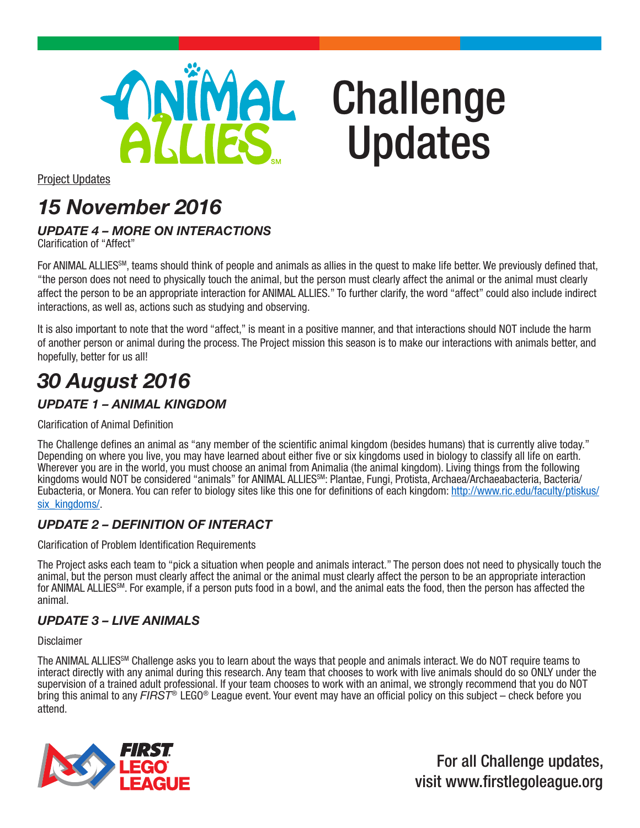

# Challenge Updates

Project Updates

## *15 November 2016*

### *UPDATE 4 – MORE ON INTERACTIONS*

Clarification of "Affect"

For ANIMAL ALLIES<sup>SM</sup>, teams should think of people and animals as allies in the quest to make life better. We previously defined that, "the person does not need to physically touch the animal, but the person must clearly affect the animal or the animal must clearly affect the person to be an appropriate interaction for ANIMAL ALLIES." To further clarify, the word "affect" could also include indirect interactions, as well as, actions such as studying and observing.

It is also important to note that the word "affect," is meant in a positive manner, and that interactions should NOT include the harm of another person or animal during the process. The Project mission this season is to make our interactions with animals better, and hopefully, better for us all!

## *30 August 2016*

#### *UPDATE 1 – ANIMAL KINGDOM*

Clarification of Animal Definition

The Challenge defines an animal as "any member of the scientific animal kingdom (besides humans) that is currently alive today." Depending on where you live, you may have learned about either five or six kingdoms used in biology to classify all life on earth. Wherever you are in the world, you must choose an animal from Animalia (the animal kingdom). Living things from the following kingdoms would NOT be considered "animals" for ANIMAL ALLIES<sup>SM</sup>: Plantae, Fungi, Protista, Archaea/Archaeabacteria, Bacteria/ Eubacteria, or Monera. You can refer to biology sites like this one for definitions of each kingdom: http://www.ric.edu/faculty/ptiskus/ six\_kingdoms/.

#### *UPDATE 2 – DEFINITION OF INTERACT*

Clarification of Problem Identification Requirements

The Project asks each team to "pick a situation when people and animals interact." The person does not need to physically touch the animal, but the person must clearly affect the animal or the animal must clearly affect the person to be an appropriate interaction for ANIMAL ALLIES<sup>SM</sup>. For example, if a person puts food in a bowl, and the animal eats the food, then the person has affected the animal.

#### *UPDATE 3 – LIVE ANIMALS*

**Disclaimer** 

The ANIMAL ALLIES<sup>SM</sup> Challenge asks you to learn about the ways that people and animals interact. We do NOT require teams to interact directly with any animal during this research. Any team that chooses to work with live animals should do so ONLY under the supervision of a trained adult professional. If your team chooses to work with an animal, we strongly recommend that you do NOT bring this animal to any *FIRST®* LEGO® League event. Your event may have an official policy on this subject – check before you attend.



For all Challenge updates, visit www.firstlegoleague.org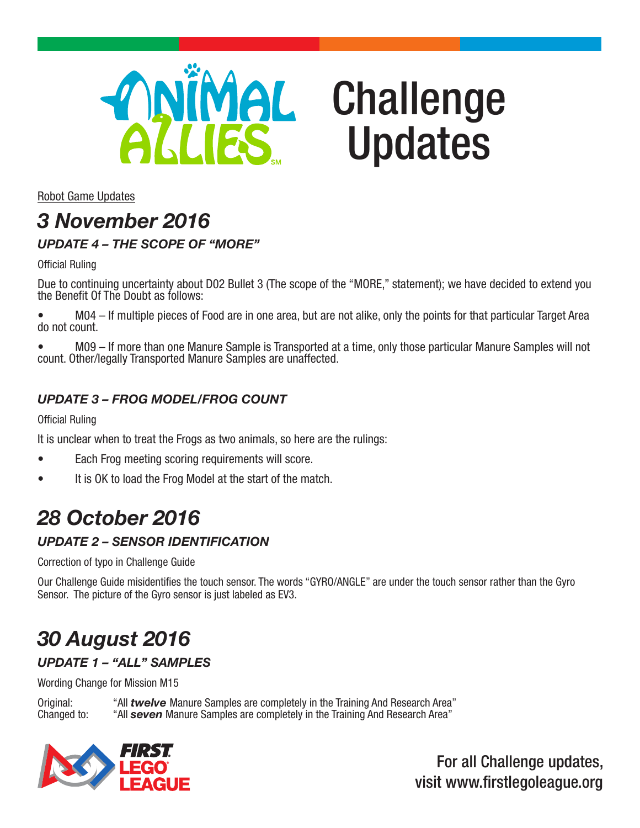

# Challenge Updates

Robot Game Updates

## *3 November 2016*

#### *UPDATE 4 – THE SCOPE OF "MORE"*

Official Ruling

Due to continuing uncertainty about D02 Bullet 3 (The scope of the "MORE," statement); we have decided to extend you the Benefit Of The Doubt as follows:

• M04 – If multiple pieces of Food are in one area, but are not alike, only the points for that particular Target Area do not count.

• M09 – If more than one Manure Sample is Transported at a time, only those particular Manure Samples will not count. Other/legally Transported Manure Samples are unaffected.

#### *UPDATE 3 – FROG MODEL/FROG COUNT*

Official Ruling

It is unclear when to treat the Frogs as two animals, so here are the rulings:

- Each Frog meeting scoring requirements will score.
- It is OK to load the Frog Model at the start of the match.

### *28 October 2016*

#### *UPDATE 2 – SENSOR IDENTIFICATION*

Correction of typo in Challenge Guide

Our Challenge Guide misidentifies the touch sensor. The words "GYRO/ANGLE" are under the touch sensor rather than the Gyro Sensor. The picture of the Gyro sensor is just labeled as EV3.

## *30 August 2016*

#### *UPDATE 1 – "ALL" SAMPLES*

Wording Change for Mission M15

Original: "All *twelve* Manure Samples are completely in the Training And Research Area" "All **seven** Manure Samples are completely in the Training And Research Area"



For all Challenge updates, visit www.firstlegoleague.org